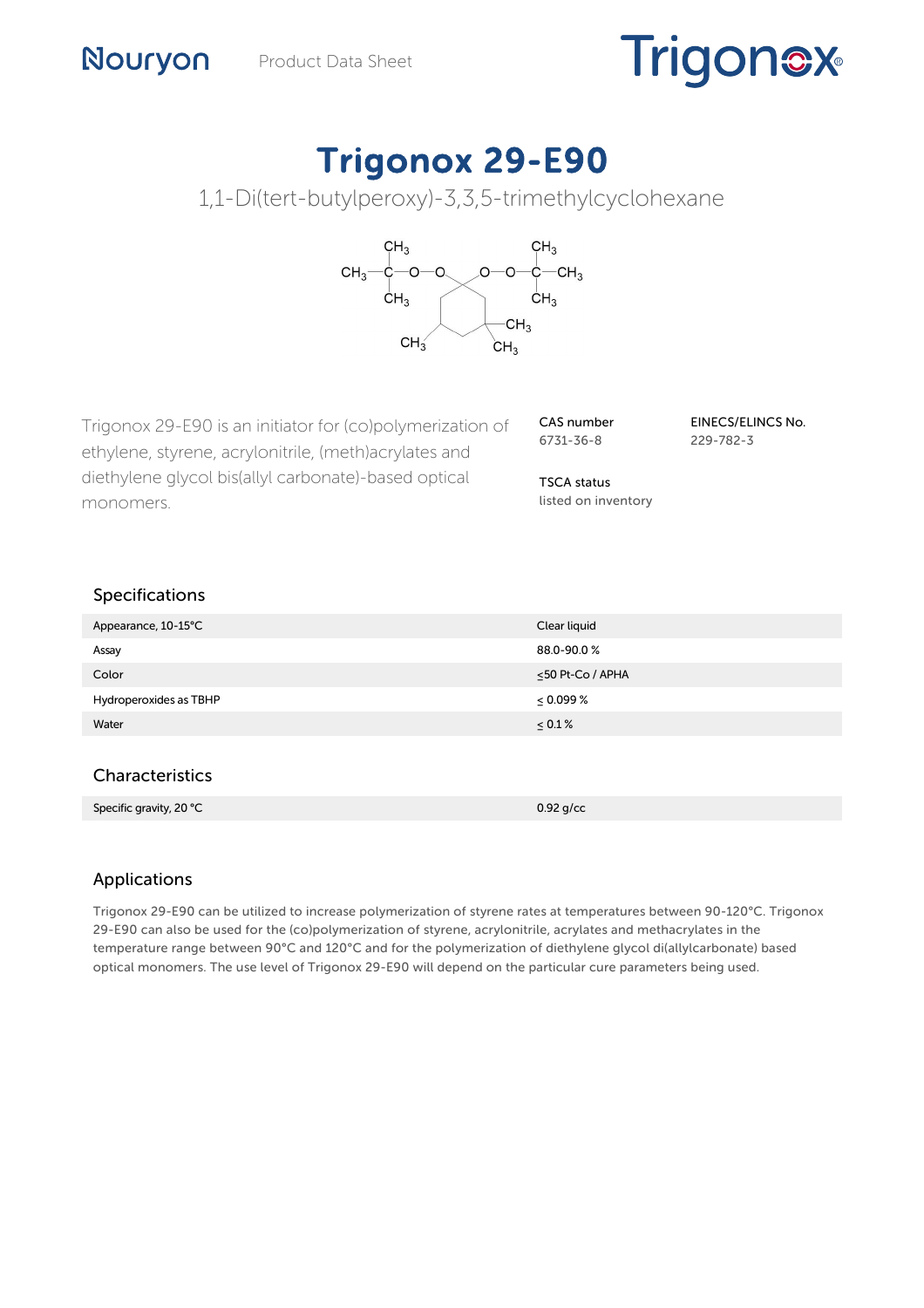# **Trigonex**

# Trigonox 29-E90

1,1-Di(tert-butylperoxy)-3,3,5-trimethylcyclohexane



Trigonox 29-E90 is an initiator for (co)polymerization of ethylene, styrene, acrylonitrile, (meth)acrylates and diethylene glycol bis(allyl carbonate)-based optical monomers.

CAS number 6731-36-8

EINECS/ELINCS No. 229-782-3

TSCA status listed on inventory

# Specifications

Nouryon

| Appearance, 10-15°C    | Clear liquid           |
|------------------------|------------------------|
| Assay                  | 88.0-90.0%             |
| Color                  | $\leq$ 50 Pt-Co / APHA |
| Hydroperoxides as TBHP | $\leq 0.099\%$         |
| Water                  | $\leq 0.1 \%$          |

# **Characteristics**

| Specific gravity, 20 °C | $0.92$ g/cc |
|-------------------------|-------------|

# Applications

Trigonox 29-E90 can be utilized to increase polymerization of styrene rates at temperatures between 90-120°C. Trigonox 29-E90 can also be used for the (co)polymerization of styrene, acrylonitrile, acrylates and methacrylates in the temperature range between 90°C and 120°C and for the polymerization of diethylene glycol di(allylcarbonate) based optical monomers. The use level of Trigonox 29-E90 will depend on the particular cure parameters being used.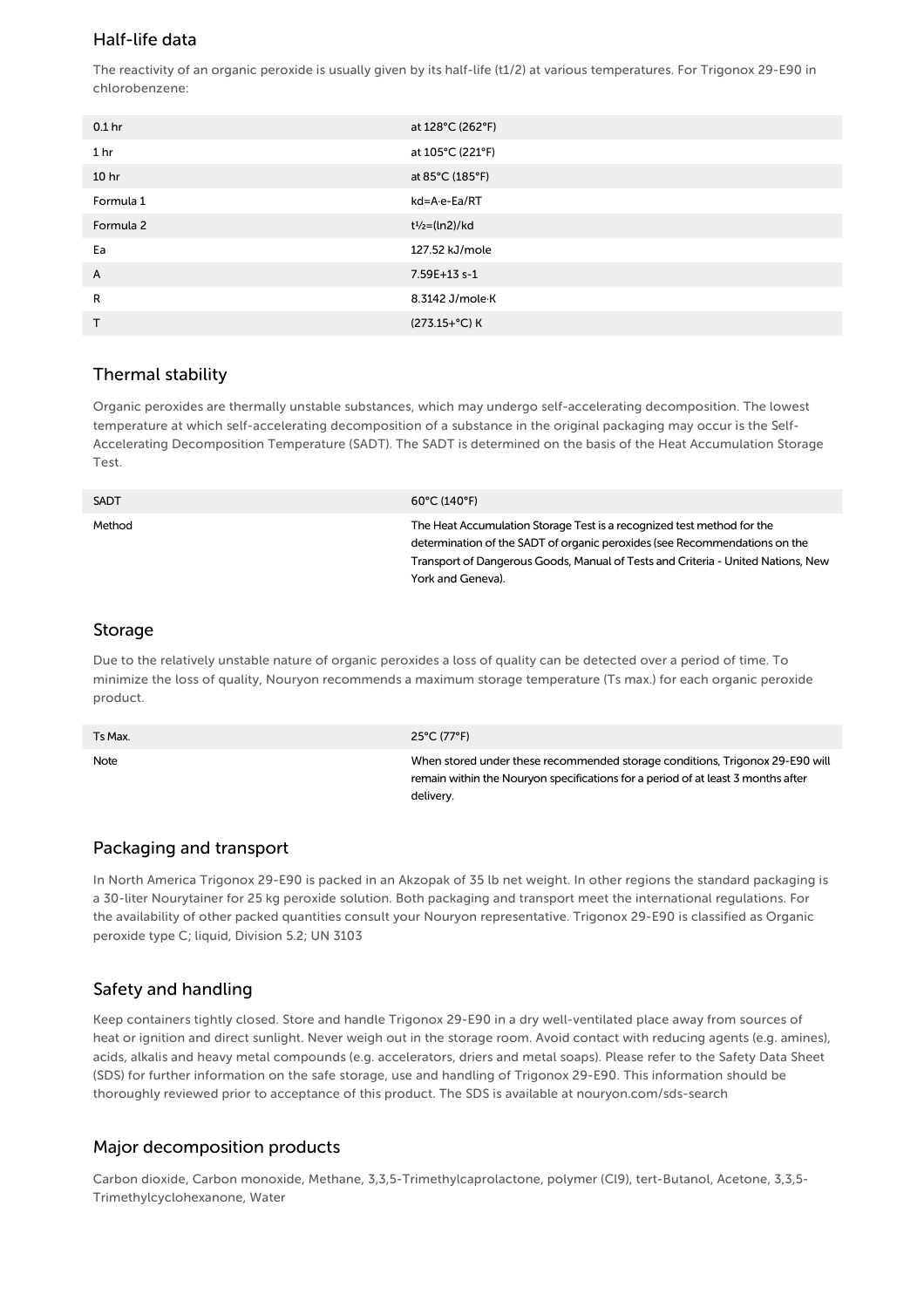#### Half-life data

The reactivity of an organic peroxide is usually given by its half-life (t1/2) at various temperatures. For Trigonox 29-E90 in chlorobenzene:

| 0.1 <sub>hr</sub> | at 128°C (262°F)                        |
|-------------------|-----------------------------------------|
| 1 <sub>hr</sub>   | at 105°C (221°F)                        |
| 10 <sub>hr</sub>  | at 85°C (185°F)                         |
| Formula 1         | kd=A-e-Ea/RT                            |
| Formula 2         | t <sup>1</sup> / <sub>2</sub> =(ln2)/kd |
| Ea                | 127.52 kJ/mole                          |
| A                 | 7.59E+13 s-1                            |
| R                 | 8.3142 J/mole K                         |
| $\mathsf{T}$      | (273.15+°C) K                           |

#### Thermal stability

Organic peroxides are thermally unstable substances, which may undergo self-accelerating decomposition. The lowest temperature at which self-accelerating decomposition of a substance in the original packaging may occur is the Self-Accelerating Decomposition Temperature (SADT). The SADT is determined on the basis of the Heat Accumulation Storage Test.

| <b>SADT</b> | $60^{\circ}$ C (140°F)                                                                                                                                                                                                                                        |
|-------------|---------------------------------------------------------------------------------------------------------------------------------------------------------------------------------------------------------------------------------------------------------------|
| Method      | The Heat Accumulation Storage Test is a recognized test method for the<br>determination of the SADT of organic peroxides (see Recommendations on the<br>Transport of Dangerous Goods, Manual of Tests and Criteria - United Nations, New<br>York and Geneva). |

#### Storage

Due to the relatively unstable nature of organic peroxides a loss of quality can be detected over a period of time. To minimize the loss of quality, Nouryon recommends a maximum storage temperature (Ts max.) for each organic peroxide product.

| Ts Max. | 25°C (77°F)                                                                                                                                                                   |
|---------|-------------------------------------------------------------------------------------------------------------------------------------------------------------------------------|
| Note    | When stored under these recommended storage conditions, Trigonox 29-E90 will<br>remain within the Nouryon specifications for a period of at least 3 months after<br>delivery. |

#### Packaging and transport

In North America Trigonox 29-E90 is packed in an Akzopak of 35 lb net weight. In other regions the standard packaging is a 30-liter Nourytainer for 25 kg peroxide solution. Both packaging and transport meet the international regulations. For the availability of other packed quantities consult your Nouryon representative. Trigonox 29-E90 is classified as Organic peroxide type C; liquid, Division 5.2; UN 3103

## Safety and handling

Keep containers tightly closed. Store and handle Trigonox 29-E90 in a dry well-ventilated place away from sources of heat or ignition and direct sunlight. Never weigh out in the storage room. Avoid contact with reducing agents (e.g. amines), acids, alkalis and heavy metal compounds (e.g. accelerators, driers and metal soaps). Please refer to the Safety Data Sheet (SDS) for further information on the safe storage, use and handling of Trigonox 29-E90. This information should be thoroughly reviewed prior to acceptance of this product. The SDS is available at nouryon.com/sds-search

## Major decomposition products

Carbon dioxide, Carbon monoxide, Methane, 3,3,5-Trimethylcaprolactone, polymer (Cl9), tert-Butanol, Acetone, 3,3,5- Trimethylcyclohexanone, Water